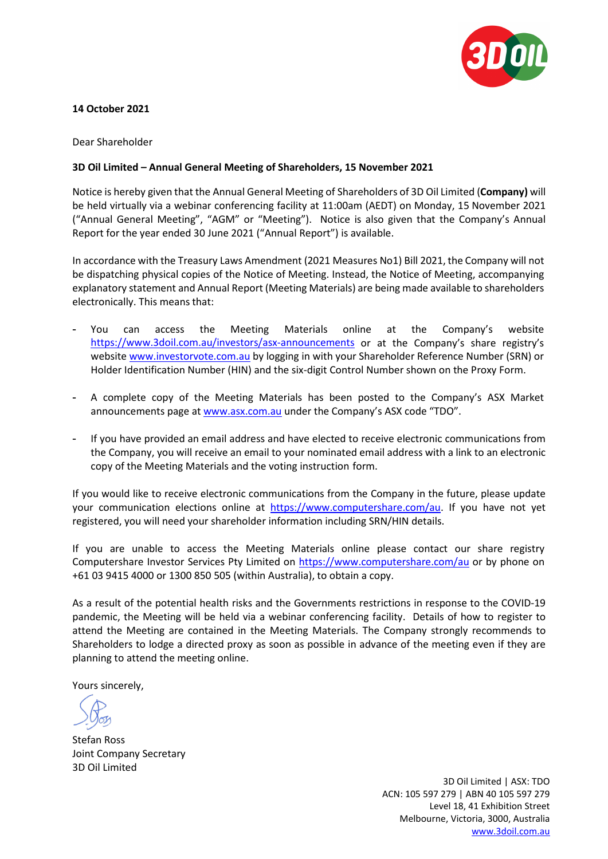

### **14 October 2021**

Dear Shareholder

#### **3D Oil Limited – Annual General Meeting of Shareholders, 15 November 2021**

Notice is hereby given that the Annual General Meeting of Shareholders of 3D Oil Limited (**Company)** will be held virtually via a webinar conferencing facility at 11:00am (AEDT) on Monday, 15 November 2021 ("Annual General Meeting", "AGM" or "Meeting"). Notice is also given that the Company's Annual Report for the year ended 30 June 2021 ("Annual Report") is available.

In accordance with the Treasury Laws Amendment (2021 Measures No1) Bill 2021, the Company will not be dispatching physical copies of the Notice of Meeting. Instead, the Notice of Meeting, accompanying explanatory statement and Annual Report (Meeting Materials) are being made available to shareholders electronically. This means that:

- You can access the Meeting Materials online at the Company's website <https://www.3doil.com.au/investors/asx-announcements> or at the Company's share registry's websit[e www.investorvote.com.au](http://www.investorvote.com.au/) by logging in with your Shareholder Reference Number (SRN) or Holder Identification Number (HIN) and the six-digit Control Number shown on the Proxy Form.
- A complete copy of the Meeting Materials has been posted to the Company's ASX Market announcements page at [www.asx.com.au](http://www.asx.com.au/) under the Company's ASX code "TDO".
- If you have provided an email address and have elected to receive electronic communications from the Company, you will receive an email to your nominated email address with a link to an electronic copy of the Meeting Materials and the voting instruction form.

If you would like to receive electronic communications from the Company in the future, please update your communication elections online at [https://www.computershare.com/au.](https://www.computershare.com/au) If you have not yet registered, you will need your shareholder information including SRN/HIN details.

If you are unable to access the Meeting Materials online please contact our share registry Computershare Investor Services Pty Limited on <https://www.computershare.com/au> or by phone on +61 03 9415 4000 or 1300 850 505 (within Australia), to obtain a copy.

As a result of the potential health risks and the Governments restrictions in response to the COVID-19 pandemic, the Meeting will be held via a webinar conferencing facility. Details of how to register to attend the Meeting are contained in the Meeting Materials. The Company strongly recommends to Shareholders to lodge a directed proxy as soon as possible in advance of the meeting even if they are planning to attend the meeting online.

Yours sincerely,

Stefan Ross Joint Company Secretary 3D Oil Limited

3D Oil Limited | ASX: TDO ACN: 105 597 279 | ABN 40 105 597 279 Level 18, 41 Exhibition Street Melbourne, Victoria, 3000, Australia [www.3doil.com.au](http://www.3doil.com.au/)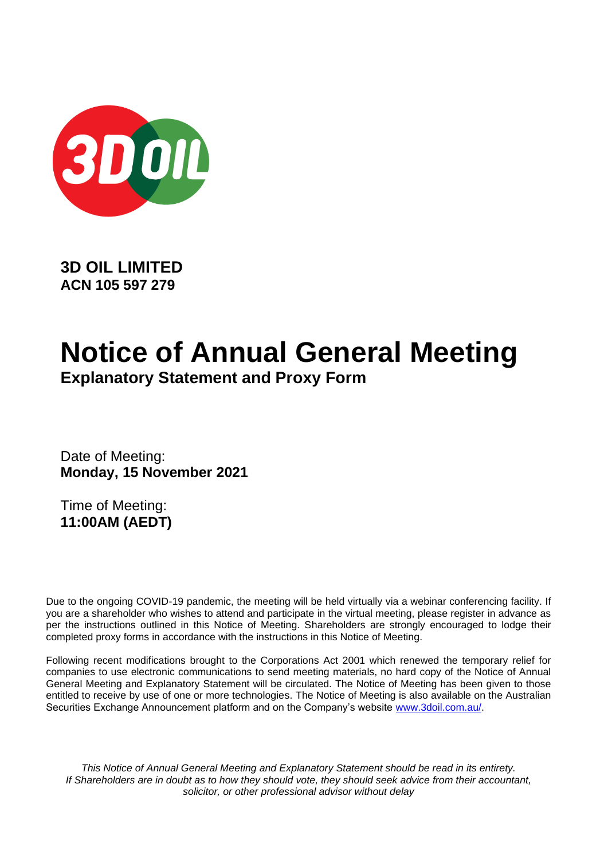

**3D OIL LIMITED ACN 105 597 279**

# **Notice of Annual General Meeting**

**Explanatory Statement and Proxy Form**

Date of Meeting: **Monday, 15 November 2021**

Time of Meeting: **11:00AM (AEDT)**

Due to the ongoing COVID-19 pandemic, the meeting will be held virtually via a webinar conferencing facility. If you are a shareholder who wishes to attend and participate in the virtual meeting, please register in advance as per the instructions outlined in this Notice of Meeting. Shareholders are strongly encouraged to lodge their completed proxy forms in accordance with the instructions in this Notice of Meeting.

Following recent modifications brought to the Corporations Act 2001 which renewed the temporary relief for companies to use electronic communications to send meeting materials, no hard copy of the Notice of Annual General Meeting and Explanatory Statement will be circulated. The Notice of Meeting has been given to those entitled to receive by use of one or more technologies. The Notice of Meeting is also available on the Australian Securities Exchange Announcement platform and on the Company's website [www.3doil.com.au/.](http://www.3doil.com.au/)

*This Notice of Annual General Meeting and Explanatory Statement should be read in its entirety. If Shareholders are in doubt as to how they should vote, they should seek advice from their accountant, solicitor, or other professional advisor without delay*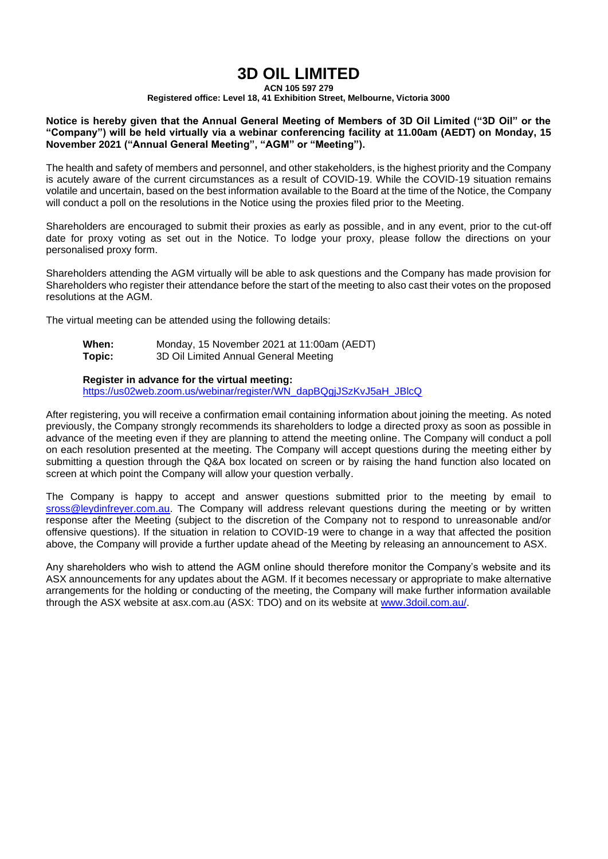# **3D OIL LIMITED**

**ACN 105 597 279**

**Registered office: Level 18, 41 Exhibition Street, Melbourne, Victoria 3000**

**Notice is hereby given that the Annual General Meeting of Members of 3D Oil Limited ("3D Oil" or the "Company") will be held virtually via a webinar conferencing facility at 11.00am (AEDT) on Monday, 15 November 2021 ("Annual General Meeting", "AGM" or "Meeting").**

The health and safety of members and personnel, and other stakeholders, is the highest priority and the Company is acutely aware of the current circumstances as a result of COVID-19. While the COVID-19 situation remains volatile and uncertain, based on the best information available to the Board at the time of the Notice, the Company will conduct a poll on the resolutions in the Notice using the proxies filed prior to the Meeting.

Shareholders are encouraged to submit their proxies as early as possible, and in any event, prior to the cut-off date for proxy voting as set out in the Notice. To lodge your proxy, please follow the directions on your personalised proxy form.

Shareholders attending the AGM virtually will be able to ask questions and the Company has made provision for Shareholders who register their attendance before the start of the meeting to also cast their votes on the proposed resolutions at the AGM.

The virtual meeting can be attended using the following details:

**When:** Monday, 15 November 2021 at 11:00am (AEDT) **Topic:** 3D Oil Limited Annual General Meeting

#### **Register in advance for the virtual meeting:**

[https://us02web.zoom.us/webinar/register/WN\\_dapBQgjJSzKvJ5aH\\_JBlcQ](https://us02web.zoom.us/webinar/register/WN_dapBQgjJSzKvJ5aH_JBlcQ)

After registering, you will receive a confirmation email containing information about joining the meeting. As noted previously, the Company strongly recommends its shareholders to lodge a directed proxy as soon as possible in advance of the meeting even if they are planning to attend the meeting online. The Company will conduct a poll on each resolution presented at the meeting. The Company will accept questions during the meeting either by submitting a question through the Q&A box located on screen or by raising the hand function also located on screen at which point the Company will allow your question verbally.

The Company is happy to accept and answer questions submitted prior to the meeting by email to [sross@leydinfreyer.com.au.](mailto:sross@leydinfreyer.com.au) The Company will address relevant questions during the meeting or by written response after the Meeting (subject to the discretion of the Company not to respond to unreasonable and/or offensive questions). If the situation in relation to COVID-19 were to change in a way that affected the position above, the Company will provide a further update ahead of the Meeting by releasing an announcement to ASX.

Any shareholders who wish to attend the AGM online should therefore monitor the Company's website and its ASX announcements for any updates about the AGM. If it becomes necessary or appropriate to make alternative arrangements for the holding or conducting of the meeting, the Company will make further information available through the ASX website at asx.com.au (ASX: TDO) and on its website at [www.3doil.com.au/.](http://www.3doil.com.au/)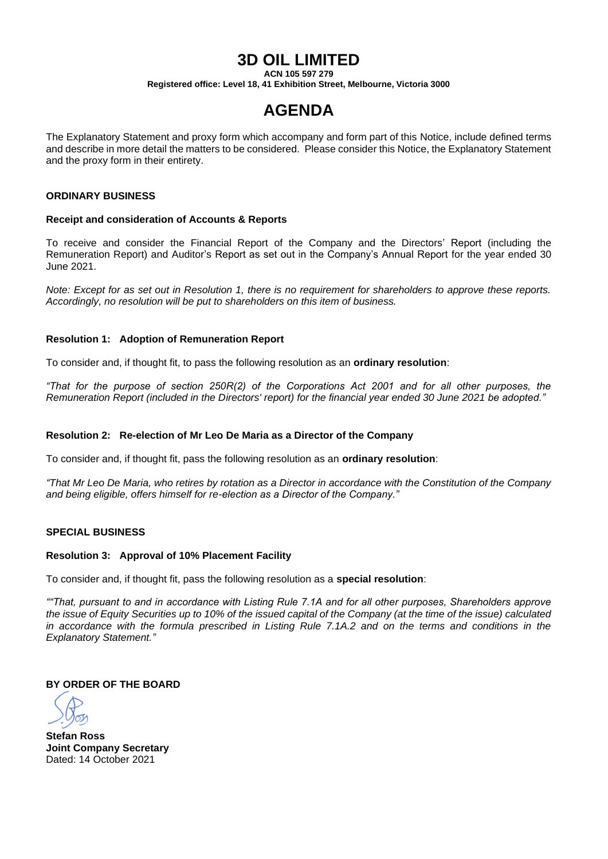# **3D OIL LIMITED**

**ACN 105 597 279**

**Registered office: Level 18, 41 Exhibition Street, Melbourne, Victoria 3000**

# **AGENDA**

The Explanatory Statement and proxy form which accompany and form part of this Notice, include defined terms and describe in more detail the matters to be considered. Please consider this Notice, the Explanatory Statement and the proxy form in their entirety.

#### **ORDINARY BUSINESS**

#### **Receipt and consideration of Accounts & Reports**

To receive and consider the Financial Report of the Company and the Directors' Report (including the Remuneration Report) and Auditor's Report as set out in the Company's Annual Report for the year ended 30 June 2021.

*Note: Except for as set out in Resolution 1, there is no requirement for shareholders to approve these reports. Accordingly, no resolution will be put to shareholders on this item of business.*

#### **Resolution 1: Adoption of Remuneration Report**

To consider and, if thought fit, to pass the following resolution as an **ordinary resolution**:

*"That for the purpose of section 250R(2) of the Corporations Act 2001 and for all other purposes, the Remuneration Report (included in the Directors' report) for the financial year ended 30 June 2021 be adopted."*

#### **Resolution 2: Re-election of Mr Leo De Maria as a Director of the Company**

To consider and, if thought fit, pass the following resolution as an **ordinary resolution**:

*"That Mr Leo De Maria, who retires by rotation as a Director in accordance with the Constitution of the Company and being eligible, offers himself for re-election as a Director of the Company."*

#### **SPECIAL BUSINESS**

#### **Resolution 3: Approval of 10% Placement Facility**

To consider and, if thought fit, pass the following resolution as a **special resolution**:

*""That, pursuant to and in accordance with Listing Rule 7.1A and for all other purposes, Shareholders approve the issue of Equity Securities up to 10% of the issued capital of the Company (at the time of the issue) calculated in accordance with the formula prescribed in Listing Rule 7.1A.2 and on the terms and conditions in the Explanatory Statement."*

**BY ORDER OF THE BOARD**

**Stefan Ross Joint Company Secretary** Dated: 14 October 2021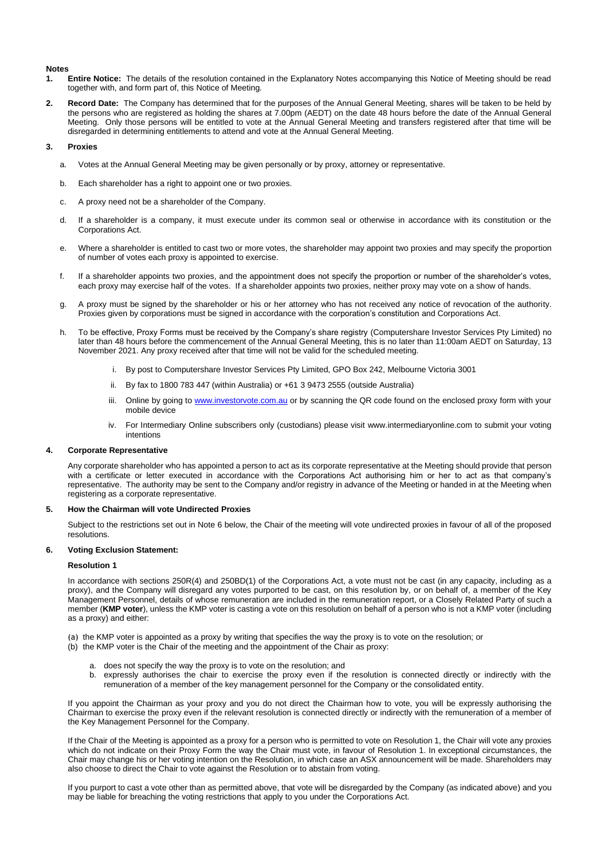#### **Notes**

- **1. Entire Notice:** The details of the resolution contained in the Explanatory Notes accompanying this Notice of Meeting should be read together with, and form part of, this Notice of Meeting.
- **2. Record Date:** The Company has determined that for the purposes of the Annual General Meeting, shares will be taken to be held by the persons who are registered as holding the shares at 7.00pm (AEDT) on the date 48 hours before the date of the Annual General Meeting. Only those persons will be entitled to vote at the Annual General Meeting and transfers registered after that time will be disregarded in determining entitlements to attend and vote at the Annual General Meeting.

#### **3. Proxies**

- a. Votes at the Annual General Meeting may be given personally or by proxy, attorney or representative.
- b. Each shareholder has a right to appoint one or two proxies.
- c. A proxy need not be a shareholder of the Company.
- d. If a shareholder is a company, it must execute under its common seal or otherwise in accordance with its constitution or the Corporations Act.
- e. Where a shareholder is entitled to cast two or more votes, the shareholder may appoint two proxies and may specify the proportion of number of votes each proxy is appointed to exercise.
- f. If a shareholder appoints two proxies, and the appointment does not specify the proportion or number of the shareholder's votes, each proxy may exercise half of the votes. If a shareholder appoints two proxies, neither proxy may vote on a show of hands.
- g. A proxy must be signed by the shareholder or his or her attorney who has not received any notice of revocation of the authority. Proxies given by corporations must be signed in accordance with the corporation's constitution and Corporations Act.
- h. To be effective, Proxy Forms must be received by the Company's share registry (Computershare Investor Services Pty Limited) no later than 48 hours before the commencement of the Annual General Meeting, this is no later than 11:00am AEDT on Saturday, 13 November 2021. Any proxy received after that time will not be valid for the scheduled meeting.
	- i. By post to Computershare Investor Services Pty Limited, GPO Box 242, Melbourne Victoria 3001
	- ii. By fax to 1800 783 447 (within Australia) or +61 3 9473 2555 (outside Australia)
	- iii. Online by going t[o www.investorvote.com.au](http://www.investorvote.com.au/) or by scanning the QR code found on the enclosed proxy form with your mobile device
	- iv. For Intermediary Online subscribers only (custodians) please visit [www.intermediaryonline.com](http://www.intermediaryonline.com/) to submit your voting intentions

#### **4. Corporate Representative**

Any corporate shareholder who has appointed a person to act as its corporate representative at the Meeting should provide that person with a certificate or letter executed in accordance with the Corporations Act authorising him or her to act as that company's representative. The authority may be sent to the Company and/or registry in advance of the Meeting or handed in at the Meeting when registering as a corporate representative.

#### **5. How the Chairman will vote Undirected Proxies**

Subject to the restrictions set out in Note 6 below, the Chair of the meeting will vote undirected proxies in favour of all of the proposed resolutions.

#### **6. Voting Exclusion Statement:**

#### **Resolution 1**

In accordance with sections 250R(4) and 250BD(1) of the Corporations Act, a vote must not be cast (in any capacity, including as a proxy), and the Company will disregard any votes purported to be cast, on this resolution by, or on behalf of, a member of the Key Management Personnel, details of whose remuneration are included in the remuneration report, or a Closely Related Party of such a member (**KMP voter**), unless the KMP voter is casting a vote on this resolution on behalf of a person who is not a KMP voter (including as a proxy) and either:

(a) the KMP voter is appointed as a proxy by writing that specifies the way the proxy is to vote on the resolution; or

- (b) the KMP voter is the Chair of the meeting and the appointment of the Chair as proxy:
	- a. does not specify the way the proxy is to vote on the resolution; and
	- b. expressly authorises the chair to exercise the proxy even if the resolution is connected directly or indirectly with the remuneration of a member of the key management personnel for the Company or the consolidated entity.

If you appoint the Chairman as your proxy and you do not direct the Chairman how to vote, you will be expressly authorising the Chairman to exercise the proxy even if the relevant resolution is connected directly or indirectly with the remuneration of a member of the Key Management Personnel for the Company.

If the Chair of the Meeting is appointed as a proxy for a person who is permitted to vote on Resolution 1, the Chair will vote any proxies which do not indicate on their Proxy Form the way the Chair must vote, in favour of Resolution 1. In exceptional circumstances, the Chair may change his or her voting intention on the Resolution, in which case an ASX announcement will be made. Shareholders may also choose to direct the Chair to vote against the Resolution or to abstain from voting.

If you purport to cast a vote other than as permitted above, that vote will be disregarded by the Company (as indicated above) and you may be liable for breaching the voting restrictions that apply to you under the Corporations Act.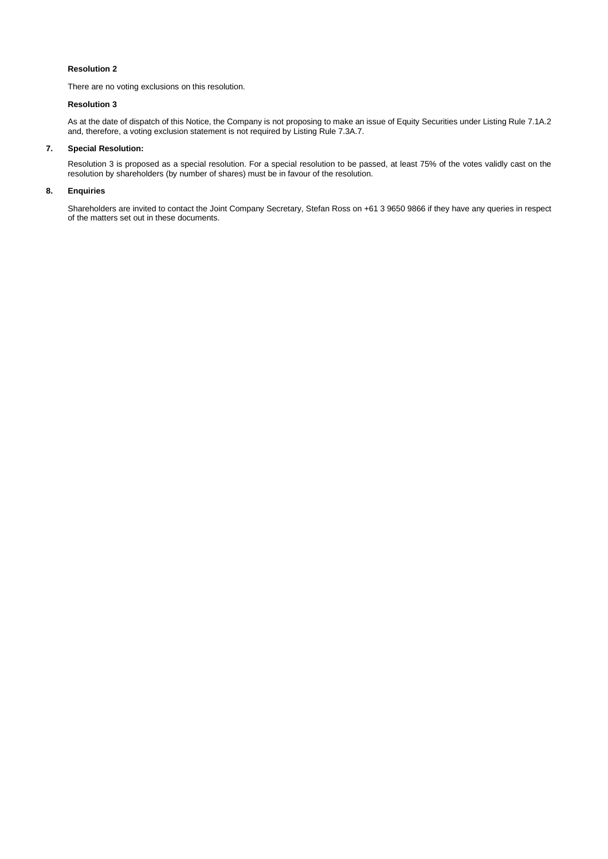#### **Resolution 2**

There are no voting exclusions on this resolution.

#### **Resolution 3**

As at the date of dispatch of this Notice, the Company is not proposing to make an issue of Equity Securities under Listing Rule 7.1A.2 and, therefore, a voting exclusion statement is not required by Listing Rule 7.3A.7.

#### **7. Special Resolution:**

Resolution 3 is proposed as a special resolution. For a special resolution to be passed, at least 75% of the votes validly cast on the resolution by shareholders (by number of shares) must be in favour of the resolution.

#### **8. Enquiries**

Shareholders are invited to contact the Joint Company Secretary, Stefan Ross on +61 3 9650 9866 if they have any queries in respect of the matters set out in these documents.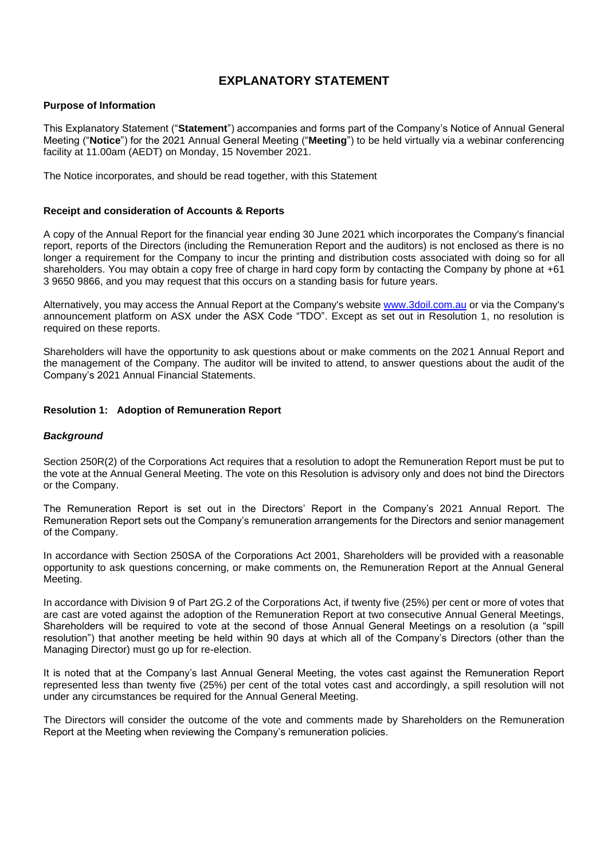# **EXPLANATORY STATEMENT**

#### **Purpose of Information**

This Explanatory Statement ("**Statement**") accompanies and forms part of the Company's Notice of Annual General Meeting ("**Notice**") for the 2021 Annual General Meeting ("**Meeting**") to be held virtually via a webinar conferencing facility at 11.00am (AEDT) on Monday, 15 November 2021.

The Notice incorporates, and should be read together, with this Statement

#### **Receipt and consideration of Accounts & Reports**

A copy of the Annual Report for the financial year ending 30 June 2021 which incorporates the Company's financial report, reports of the Directors (including the Remuneration Report and the auditors) is not enclosed as there is no longer a requirement for the Company to incur the printing and distribution costs associated with doing so for all shareholders. You may obtain a copy free of charge in hard copy form by contacting the Company by phone at +61 3 9650 9866, and you may request that this occurs on a standing basis for future years.

Alternatively, you may access the Annual Report at the Company's website [www.3doil.com.au](http://www.3doil.com.au/) or via the Company's announcement platform on ASX under the ASX Code "TDO". Except as set out in Resolution 1, no resolution is required on these reports.

Shareholders will have the opportunity to ask questions about or make comments on the 2021 Annual Report and the management of the Company. The auditor will be invited to attend, to answer questions about the audit of the Company's 2021 Annual Financial Statements.

#### **Resolution 1: Adoption of Remuneration Report**

#### *Background*

Section 250R(2) of the Corporations Act requires that a resolution to adopt the Remuneration Report must be put to the vote at the Annual General Meeting. The vote on this Resolution is advisory only and does not bind the Directors or the Company.

The Remuneration Report is set out in the Directors' Report in the Company's 2021 Annual Report. The Remuneration Report sets out the Company's remuneration arrangements for the Directors and senior management of the Company.

In accordance with Section 250SA of the Corporations Act 2001, Shareholders will be provided with a reasonable opportunity to ask questions concerning, or make comments on, the Remuneration Report at the Annual General Meeting.

In accordance with Division 9 of Part 2G.2 of the Corporations Act, if twenty five (25%) per cent or more of votes that are cast are voted against the adoption of the Remuneration Report at two consecutive Annual General Meetings, Shareholders will be required to vote at the second of those Annual General Meetings on a resolution (a "spill resolution") that another meeting be held within 90 days at which all of the Company's Directors (other than the Managing Director) must go up for re-election.

It is noted that at the Company's last Annual General Meeting, the votes cast against the Remuneration Report represented less than twenty five (25%) per cent of the total votes cast and accordingly, a spill resolution will not under any circumstances be required for the Annual General Meeting.

The Directors will consider the outcome of the vote and comments made by Shareholders on the Remuneration Report at the Meeting when reviewing the Company's remuneration policies.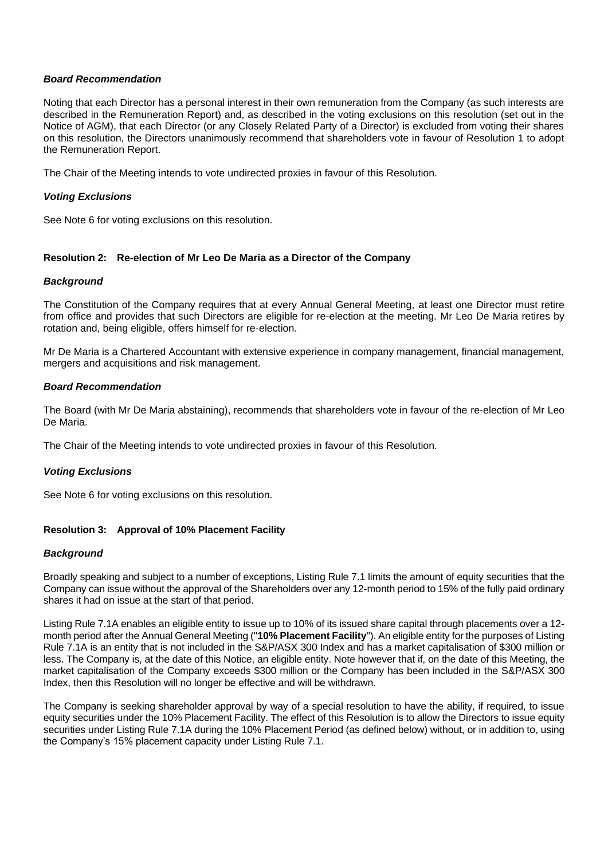#### *Board Recommendation*

Noting that each Director has a personal interest in their own remuneration from the Company (as such interests are described in the Remuneration Report) and, as described in the voting exclusions on this resolution (set out in the Notice of AGM), that each Director (or any Closely Related Party of a Director) is excluded from voting their shares on this resolution, the Directors unanimously recommend that shareholders vote in favour of Resolution 1 to adopt the Remuneration Report.

The Chair of the Meeting intends to vote undirected proxies in favour of this Resolution.

#### *Voting Exclusions*

See Note 6 for voting exclusions on this resolution.

#### **Resolution 2: Re-election of Mr Leo De Maria as a Director of the Company**

#### *Background*

The Constitution of the Company requires that at every Annual General Meeting, at least one Director must retire from office and provides that such Directors are eligible for re-election at the meeting. Mr Leo De Maria retires by rotation and, being eligible, offers himself for re-election.

Mr De Maria is a Chartered Accountant with extensive experience in company management, financial management, mergers and acquisitions and risk management.

#### *Board Recommendation*

The Board (with Mr De Maria abstaining), recommends that shareholders vote in favour of the re-election of Mr Leo De Maria.

The Chair of the Meeting intends to vote undirected proxies in favour of this Resolution.

#### *Voting Exclusions*

See Note 6 for voting exclusions on this resolution.

#### **Resolution 3: Approval of 10% Placement Facility**

#### *Background*

Broadly speaking and subject to a number of exceptions, Listing Rule 7.1 limits the amount of equity securities that the Company can issue without the approval of the Shareholders over any 12-month period to 15% of the fully paid ordinary shares it had on issue at the start of that period.

Listing Rule 7.1A enables an eligible entity to issue up to 10% of its issued share capital through placements over a 12 month period after the Annual General Meeting ("**10% Placement Facility**"). An eligible entity for the purposes of Listing Rule 7.1A is an entity that is not included in the S&P/ASX 300 Index and has a market capitalisation of \$300 million or less. The Company is, at the date of this Notice, an eligible entity. Note however that if, on the date of this Meeting, the market capitalisation of the Company exceeds \$300 million or the Company has been included in the S&P/ASX 300 Index, then this Resolution will no longer be effective and will be withdrawn.

The Company is seeking shareholder approval by way of a special resolution to have the ability, if required, to issue equity securities under the 10% Placement Facility. The effect of this Resolution is to allow the Directors to issue equity securities under Listing Rule 7.1A during the 10% Placement Period (as defined below) without, or in addition to, using the Company's 15% placement capacity under Listing Rule 7.1.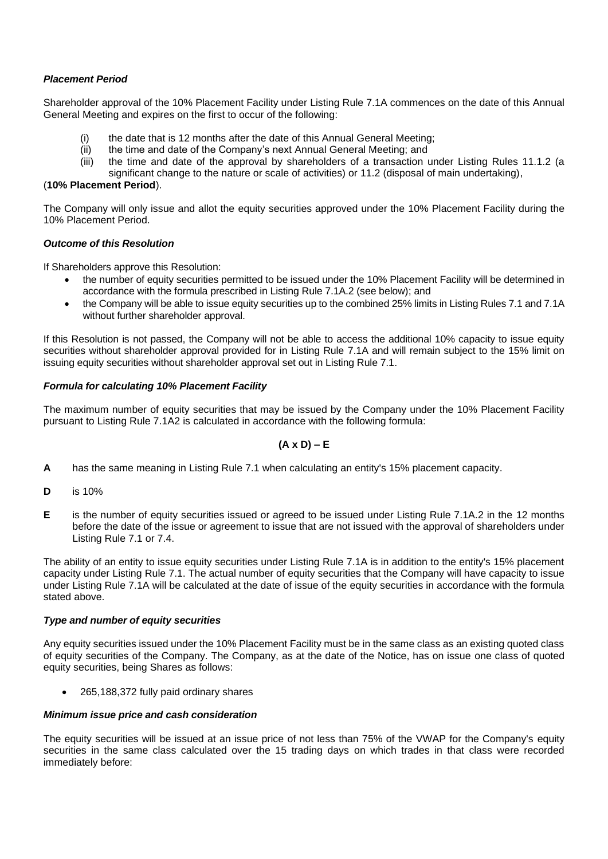#### *Placement Period*

Shareholder approval of the 10% Placement Facility under Listing Rule 7.1A commences on the date of this Annual General Meeting and expires on the first to occur of the following:

- (i) the date that is 12 months after the date of this Annual General Meeting;
- (ii) the time and date of the Company's next Annual General Meeting; and
- (iii) the time and date of the approval by shareholders of a transaction under Listing Rules 11.1.2 (a significant change to the nature or scale of activities) or 11.2 (disposal of main undertaking),

#### (**10% Placement Period**).

The Company will only issue and allot the equity securities approved under the 10% Placement Facility during the 10% Placement Period.

#### *Outcome of this Resolution*

If Shareholders approve this Resolution:

- the number of equity securities permitted to be issued under the 10% Placement Facility will be determined in accordance with the formula prescribed in Listing Rule 7.1A.2 (see below); and
- the Company will be able to issue equity securities up to the combined 25% limits in Listing Rules 7.1 and 7.1A without further shareholder approval.

If this Resolution is not passed, the Company will not be able to access the additional 10% capacity to issue equity securities without shareholder approval provided for in Listing Rule 7.1A and will remain subject to the 15% limit on issuing equity securities without shareholder approval set out in Listing Rule 7.1.

#### *Formula for calculating 10% Placement Facility*

The maximum number of equity securities that may be issued by the Company under the 10% Placement Facility pursuant to Listing Rule 7.1A2 is calculated in accordance with the following formula:

#### **(A x D) – E**

- **A** has the same meaning in Listing Rule 7.1 when calculating an entity's 15% placement capacity.
- **D** is 10%
- **E** is the number of equity securities issued or agreed to be issued under Listing Rule 7.1A.2 in the 12 months before the date of the issue or agreement to issue that are not issued with the approval of shareholders under Listing Rule 7.1 or 7.4.

The ability of an entity to issue equity securities under Listing Rule 7.1A is in addition to the entity's 15% placement capacity under Listing Rule 7.1. The actual number of equity securities that the Company will have capacity to issue under Listing Rule 7.1A will be calculated at the date of issue of the equity securities in accordance with the formula stated above.

#### *Type and number of equity securities*

Any equity securities issued under the 10% Placement Facility must be in the same class as an existing quoted class of equity securities of the Company. The Company, as at the date of the Notice, has on issue one class of quoted equity securities, being Shares as follows:

• 265,188,372 fully paid ordinary shares

#### *Minimum issue price and cash consideration*

The equity securities will be issued at an issue price of not less than 75% of the VWAP for the Company's equity securities in the same class calculated over the 15 trading days on which trades in that class were recorded immediately before: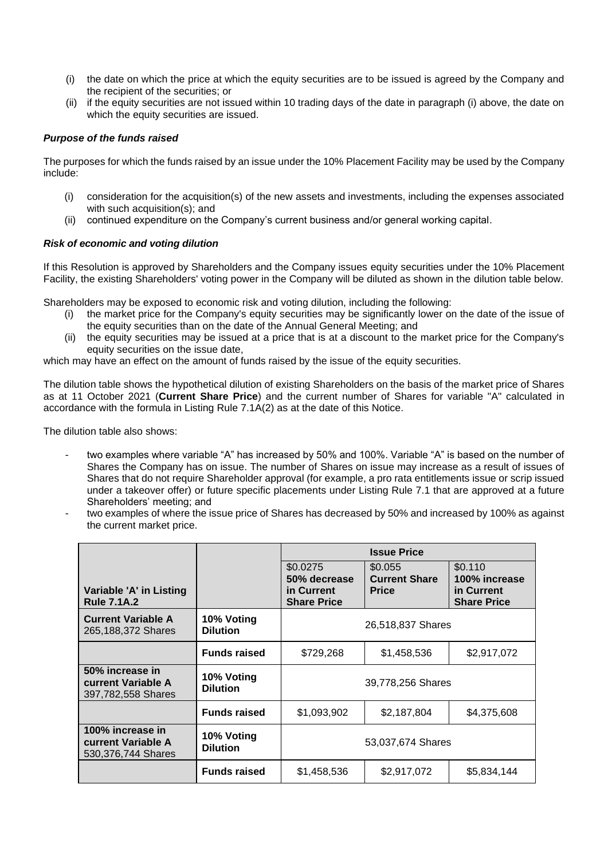- (i) the date on which the price at which the equity securities are to be issued is agreed by the Company and the recipient of the securities; or
- (ii) if the equity securities are not issued within 10 trading days of the date in paragraph (i) above, the date on which the equity securities are issued.

#### *Purpose of the funds raised*

The purposes for which the funds raised by an issue under the 10% Placement Facility may be used by the Company include:

- (i) consideration for the acquisition(s) of the new assets and investments, including the expenses associated with such acquisition(s); and
- (ii) continued expenditure on the Company's current business and/or general working capital.

### *Risk of economic and voting dilution*

If this Resolution is approved by Shareholders and the Company issues equity securities under the 10% Placement Facility, the existing Shareholders' voting power in the Company will be diluted as shown in the dilution table below.

Shareholders may be exposed to economic risk and voting dilution, including the following:

- (i) the market price for the Company's equity securities may be significantly lower on the date of the issue of the equity securities than on the date of the Annual General Meeting; and
- (ii) the equity securities may be issued at a price that is at a discount to the market price for the Company's equity securities on the issue date,

which may have an effect on the amount of funds raised by the issue of the equity securities.

The dilution table shows the hypothetical dilution of existing Shareholders on the basis of the market price of Shares as at 11 October 2021 (**Current Share Price**) and the current number of Shares for variable "A" calculated in accordance with the formula in Listing Rule 7.1A(2) as at the date of this Notice.

The dilution table also shows:

- two examples where variable "A" has increased by 50% and 100%. Variable "A" is based on the number of Shares the Company has on issue. The number of Shares on issue may increase as a result of issues of Shares that do not require Shareholder approval (for example, a pro rata entitlements issue or scrip issued under a takeover offer) or future specific placements under Listing Rule 7.1 that are approved at a future Shareholders' meeting; and
- two examples of where the issue price of Shares has decreased by 50% and increased by 100% as against the current market price.

|                                                                       |                               | <b>Issue Price</b>         |                                      |                             |
|-----------------------------------------------------------------------|-------------------------------|----------------------------|--------------------------------------|-----------------------------|
|                                                                       |                               | \$0.0275                   | \$0.055                              | \$0.110                     |
| Variable 'A' in Listing                                               |                               | 50% decrease<br>in Current | <b>Current Share</b><br><b>Price</b> | 100% increase<br>in Current |
| <b>Rule 7.1A.2</b>                                                    |                               | <b>Share Price</b>         |                                      | <b>Share Price</b>          |
| <b>Current Variable A</b><br>265,188,372 Shares                       | 10% Voting<br><b>Dilution</b> | 26,518,837 Shares          |                                      |                             |
|                                                                       | <b>Funds raised</b>           | \$729,268                  | \$1,458,536                          | \$2,917,072                 |
| 50% increase in<br>current Variable A<br>397,782,558 Shares           | 10% Voting<br><b>Dilution</b> | 39,778,256 Shares          |                                      |                             |
|                                                                       | <b>Funds raised</b>           | \$1,093,902                | \$2,187,804                          | \$4,375,608                 |
| 100% increase in<br><b>current Variable A</b><br>530, 376, 744 Shares | 10% Voting<br><b>Dilution</b> |                            | 53,037,674 Shares                    |                             |
|                                                                       | <b>Funds raised</b>           | \$1,458,536                | \$2,917,072                          | \$5,834,144                 |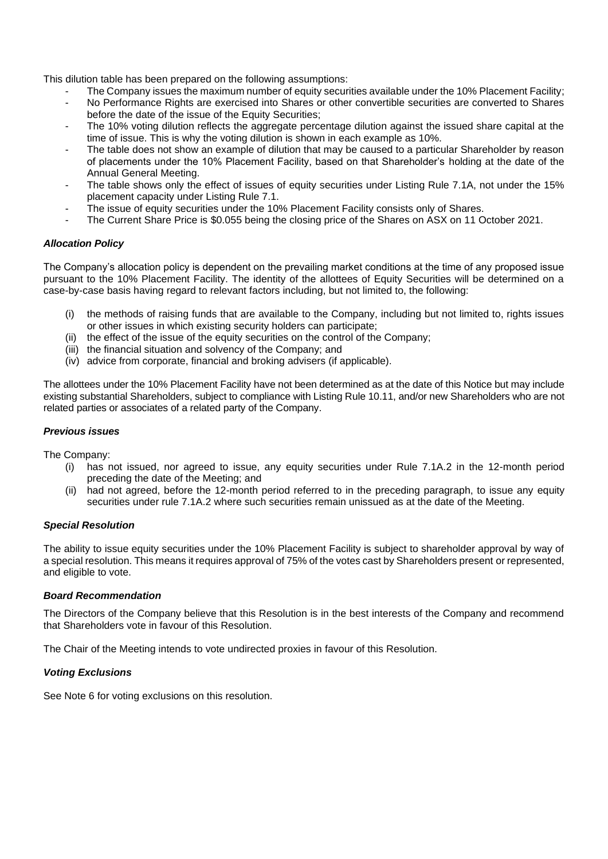This dilution table has been prepared on the following assumptions:

- The Company issues the maximum number of equity securities available under the 10% Placement Facility;
- No Performance Rights are exercised into Shares or other convertible securities are converted to Shares before the date of the issue of the Equity Securities;
- The 10% voting dilution reflects the aggregate percentage dilution against the issued share capital at the time of issue. This is why the voting dilution is shown in each example as 10%.
- The table does not show an example of dilution that may be caused to a particular Shareholder by reason of placements under the 10% Placement Facility, based on that Shareholder's holding at the date of the Annual General Meeting.
- The table shows only the effect of issues of equity securities under Listing Rule 7.1A, not under the 15% placement capacity under Listing Rule 7.1.
- The issue of equity securities under the 10% Placement Facility consists only of Shares.
- The Current Share Price is \$0.055 being the closing price of the Shares on ASX on 11 October 2021.

#### *Allocation Policy*

The Company's allocation policy is dependent on the prevailing market conditions at the time of any proposed issue pursuant to the 10% Placement Facility. The identity of the allottees of Equity Securities will be determined on a case-by-case basis having regard to relevant factors including, but not limited to, the following:

- (i) the methods of raising funds that are available to the Company, including but not limited to, rights issues or other issues in which existing security holders can participate;
- (ii) the effect of the issue of the equity securities on the control of the Company;
- (iii) the financial situation and solvency of the Company; and
- (iv) advice from corporate, financial and broking advisers (if applicable).

The allottees under the 10% Placement Facility have not been determined as at the date of this Notice but may include existing substantial Shareholders, subject to compliance with Listing Rule 10.11, and/or new Shareholders who are not related parties or associates of a related party of the Company.

## *Previous issues*

The Company:

- (i) has not issued, nor agreed to issue, any equity securities under Rule 7.1A.2 in the 12-month period preceding the date of the Meeting; and
- (ii) had not agreed, before the 12-month period referred to in the preceding paragraph, to issue any equity securities under rule 7.1A.2 where such securities remain unissued as at the date of the Meeting.

#### *Special Resolution*

The ability to issue equity securities under the 10% Placement Facility is subject to shareholder approval by way of a special resolution. This means it requires approval of 75% of the votes cast by Shareholders present or represented, and eligible to vote.

#### *Board Recommendation*

The Directors of the Company believe that this Resolution is in the best interests of the Company and recommend that Shareholders vote in favour of this Resolution.

The Chair of the Meeting intends to vote undirected proxies in favour of this Resolution.

#### *Voting Exclusions*

See Note 6 for voting exclusions on this resolution.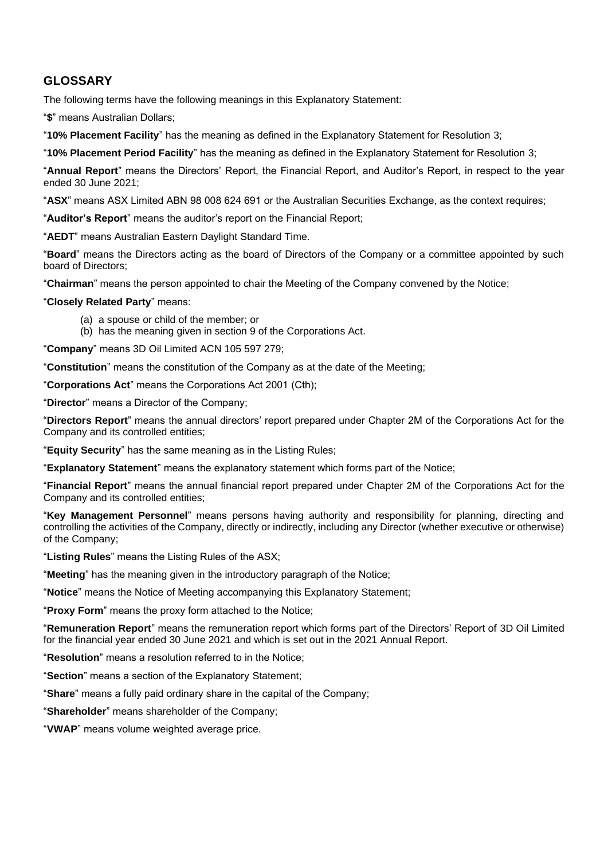# **GLOSSARY**

The following terms have the following meanings in this Explanatory Statement:

"**\$**" means Australian Dollars;

"**10% Placement Facility**" has the meaning as defined in the Explanatory Statement for Resolution 3;

"**10% Placement Period Facility**" has the meaning as defined in the Explanatory Statement for Resolution 3;

"**Annual Report**" means the Directors' Report, the Financial Report, and Auditor's Report, in respect to the year ended 30 June 2021;

"**ASX**" means ASX Limited ABN 98 008 624 691 or the Australian Securities Exchange, as the context requires;

"**Auditor's Report**" means the auditor's report on the Financial Report;

"**AEDT**" means Australian Eastern Daylight Standard Time.

"**Board**" means the Directors acting as the board of Directors of the Company or a committee appointed by such board of Directors;

"**Chairman**" means the person appointed to chair the Meeting of the Company convened by the Notice;

#### "**Closely Related Party**" means:

- (a) a spouse or child of the member; or
- (b) has the meaning given in section 9 of the Corporations Act.

"**Company**" means 3D Oil Limited ACN 105 597 279;

"**Constitution**" means the constitution of the Company as at the date of the Meeting;

"**Corporations Act**" means the Corporations Act 2001 (Cth);

"**Director**" means a Director of the Company;

"**Directors Report**" means the annual directors' report prepared under Chapter 2M of the Corporations Act for the Company and its controlled entities;

"**Equity Security**" has the same meaning as in the Listing Rules;

"**Explanatory Statement**" means the explanatory statement which forms part of the Notice;

"**Financial Report**" means the annual financial report prepared under Chapter 2M of the Corporations Act for the Company and its controlled entities;

"**Key Management Personnel**" means persons having authority and responsibility for planning, directing and controlling the activities of the Company, directly or indirectly, including any Director (whether executive or otherwise) of the Company;

"**Listing Rules**" means the Listing Rules of the ASX;

"**Meeting**" has the meaning given in the introductory paragraph of the Notice;

"**Notice**" means the Notice of Meeting accompanying this Explanatory Statement;

"**Proxy Form**" means the proxy form attached to the Notice;

"**Remuneration Report**" means the remuneration report which forms part of the Directors' Report of 3D Oil Limited for the financial year ended 30 June 2021 and which is set out in the 2021 Annual Report.

"**Resolution**" means a resolution referred to in the Notice;

"**Section**" means a section of the Explanatory Statement;

"**Share**" means a fully paid ordinary share in the capital of the Company;

"**Shareholder**" means shareholder of the Company;

"**VWAP**" means volume weighted average price.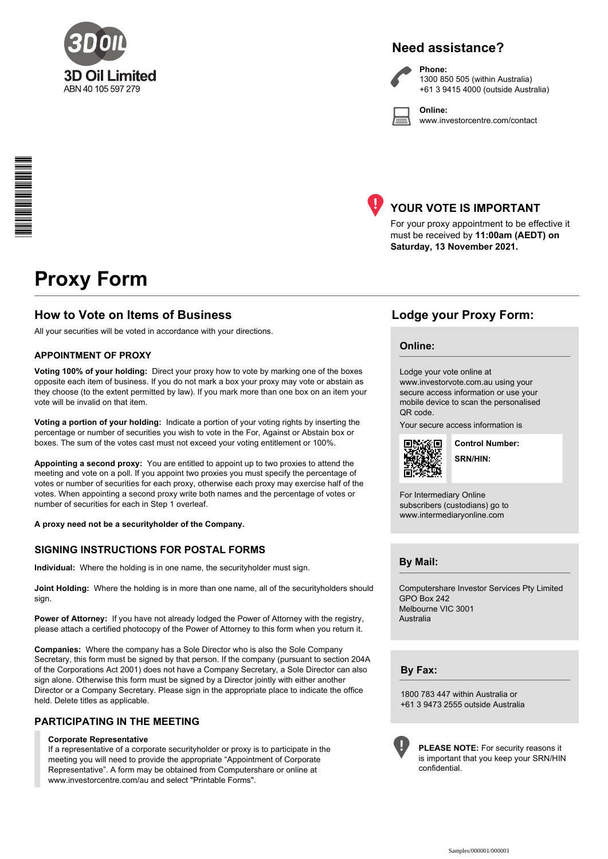

# **Need assistance?**



**Phone:** 1300 850 505 (within Australia) +61 3 9415 4000 (outside Australia)

**Online:** www.investorcentre.com/contact



# **YOUR VOTE IS IMPORTANT**

For your proxy appointment to be effective it must be received by **11:00am (AEDT) on Saturday, 13 November 2021.**

# **Proxy Form**

\*L000001\*

## **How to Vote on Items of Business Lodge your Proxy Form:**

All your securities will be voted in accordance with your directions.

#### **APPOINTMENT OF PROXY**

**Voting 100% of your holding:** Direct your proxy how to vote by marking one of the boxes opposite each item of business. If you do not mark a box your proxy may vote or abstain as they choose (to the extent permitted by law). If you mark more than one box on an item your vote will be invalid on that item.

**Voting a portion of your holding:** Indicate a portion of your voting rights by inserting the percentage or number of securities you wish to vote in the For, Against or Abstain box or boxes. The sum of the votes cast must not exceed your voting entitlement or 100%.

**Appointing a second proxy:** You are entitled to appoint up to two proxies to attend the meeting and vote on a poll. If you appoint two proxies you must specify the percentage of votes or number of securities for each proxy, otherwise each proxy may exercise half of the votes. When appointing a second proxy write both names and the percentage of votes or number of securities for each in Step 1 overleaf.

**A proxy need not be a securityholder of the Company.**

#### **SIGNING INSTRUCTIONS FOR POSTAL FORMS**

**Individual:** Where the holding is in one name, the securityholder must sign.

**Joint Holding:** Where the holding is in more than one name, all of the securityholders should sign.

**Power of Attorney:** If you have not already lodged the Power of Attorney with the registry, please attach a certified photocopy of the Power of Attorney to this form when you return it.

**Companies:** Where the company has a Sole Director who is also the Sole Company Secretary, this form must be signed by that person. If the company (pursuant to section 204A of the Corporations Act 2001) does not have a Company Secretary, a Sole Director can also sign alone. Otherwise this form must be signed by a Director jointly with either another Director or a Company Secretary. Please sign in the appropriate place to indicate the office held. Delete titles as applicable.

#### **PARTICIPATING IN THE MEETING**

#### **Corporate Representative**

If a representative of a corporate securityholder or proxy is to participate in the meeting you will need to provide the appropriate "Appointment of Corporate Representative". A form may be obtained from Computershare or online at www.investorcentre.com/au and select "Printable Forms".

#### **Online:**

Lodge your vote online at

www.investorvote.com.au using your secure access information or use your mobile device to scan the personalised QR code.

Your secure access information is



**Control Number: SRN/HIN:** 

For Intermediary Online subscribers (custodians) go to www.intermediaryonline.com

**By Mail:**

Computershare Investor Services Pty Limited GPO Box 242 Melbourne VIC 3001 Australia

**By Fax:**

1800 783 447 within Australia or +61 3 9473 2555 outside Australia



**PLEASE NOTE:** For security reasons it is important that you keep your SRN/HIN confidential.